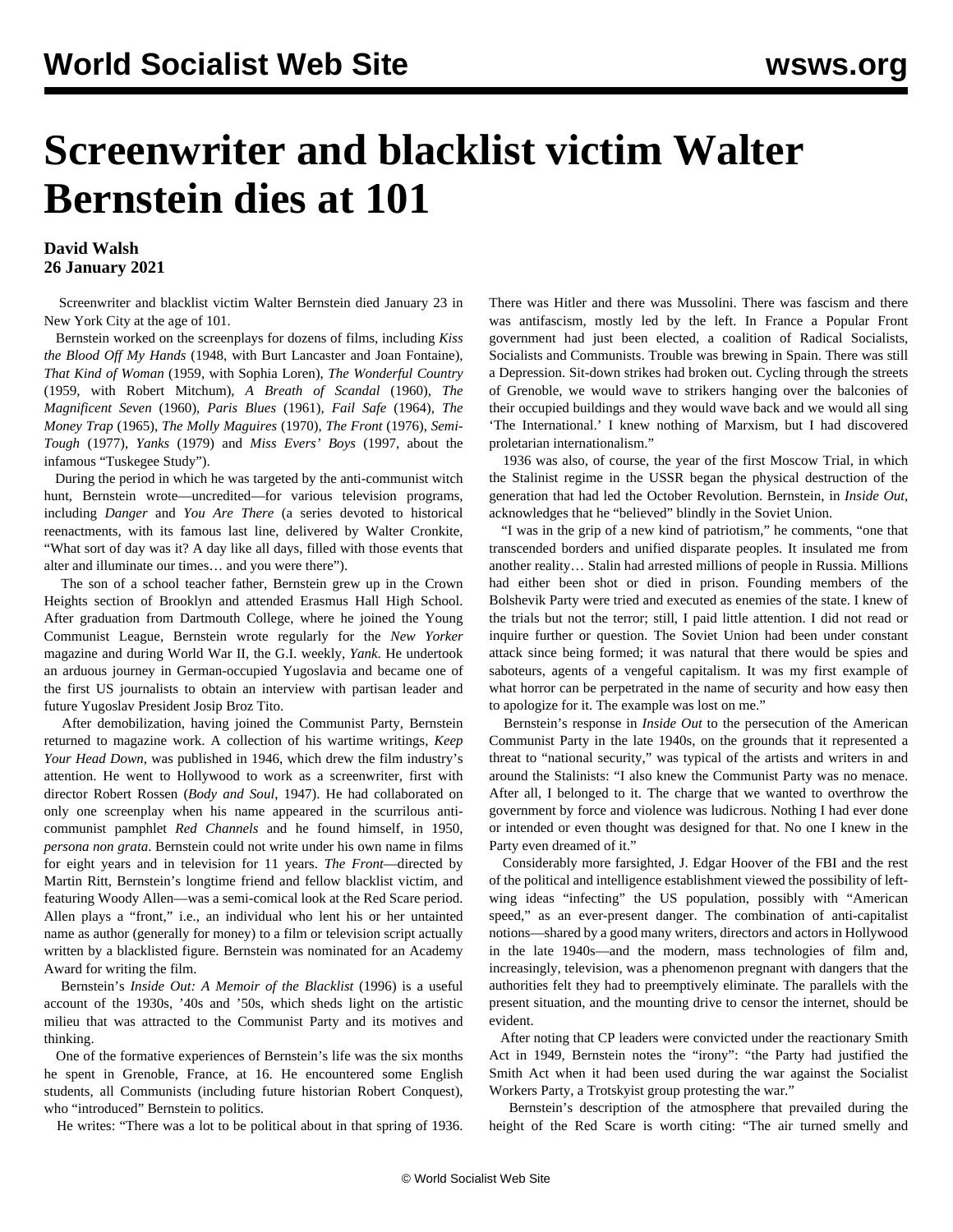## **Screenwriter and blacklist victim Walter Bernstein dies at 101**

## **David Walsh 26 January 2021**

 Screenwriter and blacklist victim Walter Bernstein died January 23 in New York City at the age of 101.

 Bernstein worked on the screenplays for dozens of films, including *Kiss the Blood Off My Hands* (1948, with Burt Lancaster and Joan Fontaine), *That Kind of Woman* (1959, with Sophia Loren), *The Wonderful Country* (1959, with Robert Mitchum), *A Breath of Scandal* (1960), *The Magnificent Seven* (1960), *Paris Blues* (1961), *Fail Safe* (1964), *The Money Trap* (1965), *The Molly Maguires* (1970), *The Front* (1976), *Semi-Tough* (1977), *Yanks* (1979) and *Miss Evers' Boys* (1997, about the infamous "Tuskegee Study").

 During the period in which he was targeted by the anti-communist witch hunt, Bernstein wrote—uncredited—for various television programs, including *Danger* and *You Are There* (a series devoted to historical reenactments, with its famous last line, delivered by Walter Cronkite, "What sort of day was it? A day like all days, filled with those events that alter and illuminate our times… and you were there").

 The son of a school teacher father, Bernstein grew up in the Crown Heights section of Brooklyn and attended Erasmus Hall High School. After graduation from Dartmouth College, where he joined the Young Communist League, Bernstein wrote regularly for the *New Yorker* magazine and during World War II, the G.I. weekly, *Yank*. He undertook an arduous journey in German-occupied Yugoslavia and became one of the first US journalists to obtain an interview with partisan leader and future Yugoslav President Josip Broz Tito.

 After demobilization, having joined the Communist Party, Bernstein returned to magazine work. A collection of his wartime writings, *Keep Your Head Down*, was published in 1946, which drew the film industry's attention. He went to Hollywood to work as a screenwriter, first with director Robert Rossen (*Body and Soul*, 1947). He had collaborated on only one screenplay when his name appeared in the scurrilous anticommunist pamphlet *Red Channels* and he found himself, in 1950, *persona non grata*. Bernstein could not write under his own name in films for eight years and in television for 11 years. *The Front*—directed by Martin Ritt, Bernstein's longtime friend and fellow blacklist victim, and featuring Woody Allen—was a semi-comical look at the Red Scare period. Allen plays a "front," i.e., an individual who lent his or her untainted name as author (generally for money) to a film or television script actually written by a blacklisted figure. Bernstein was nominated for an Academy Award for writing the film.

 Bernstein's *Inside Out: A Memoir of the Blacklist* (1996) is a useful account of the 1930s, '40s and '50s, which sheds light on the artistic milieu that was attracted to the Communist Party and its motives and thinking.

 One of the formative experiences of Bernstein's life was the six months he spent in Grenoble, France, at 16. He encountered some English students, all Communists (including future historian Robert Conquest), who "introduced" Bernstein to politics.

He writes: "There was a lot to be political about in that spring of 1936.

There was Hitler and there was Mussolini. There was fascism and there was antifascism, mostly led by the left. In France a Popular Front government had just been elected, a coalition of Radical Socialists, Socialists and Communists. Trouble was brewing in Spain. There was still a Depression. Sit-down strikes had broken out. Cycling through the streets of Grenoble, we would wave to strikers hanging over the balconies of their occupied buildings and they would wave back and we would all sing 'The International.' I knew nothing of Marxism, but I had discovered proletarian internationalism."

 1936 was also, of course, the year of the first Moscow Trial, in which the Stalinist regime in the USSR began the physical destruction of the generation that had led the October Revolution. Bernstein, in *Inside Out*, acknowledges that he "believed" blindly in the Soviet Union.

 "I was in the grip of a new kind of patriotism," he comments, "one that transcended borders and unified disparate peoples. It insulated me from another reality… Stalin had arrested millions of people in Russia. Millions had either been shot or died in prison. Founding members of the Bolshevik Party were tried and executed as enemies of the state. I knew of the trials but not the terror; still, I paid little attention. I did not read or inquire further or question. The Soviet Union had been under constant attack since being formed; it was natural that there would be spies and saboteurs, agents of a vengeful capitalism. It was my first example of what horror can be perpetrated in the name of security and how easy then to apologize for it. The example was lost on me."

 Bernstein's response in *Inside Out* to the persecution of the American Communist Party in the late 1940s, on the grounds that it represented a threat to "national security," was typical of the artists and writers in and around the Stalinists: "I also knew the Communist Party was no menace. After all, I belonged to it. The charge that we wanted to overthrow the government by force and violence was ludicrous. Nothing I had ever done or intended or even thought was designed for that. No one I knew in the Party even dreamed of it."

 Considerably more farsighted, J. Edgar Hoover of the FBI and the rest of the political and intelligence establishment viewed the possibility of leftwing ideas "infecting" the US population, possibly with "American speed," as an ever-present danger. The combination of anti-capitalist notions—shared by a good many writers, directors and actors in Hollywood in the late 1940s—and the modern, mass technologies of film and, increasingly, television, was a phenomenon pregnant with dangers that the authorities felt they had to preemptively eliminate. The parallels with the present situation, and the mounting drive to censor the internet, should be evident.

 After noting that CP leaders were convicted under the reactionary Smith Act in 1949, Bernstein notes the "irony": "the Party had justified the Smith Act when it had been used during the war against the Socialist Workers Party, a Trotskyist group protesting the war."

 Bernstein's description of the atmosphere that prevailed during the height of the Red Scare is worth citing: "The air turned smelly and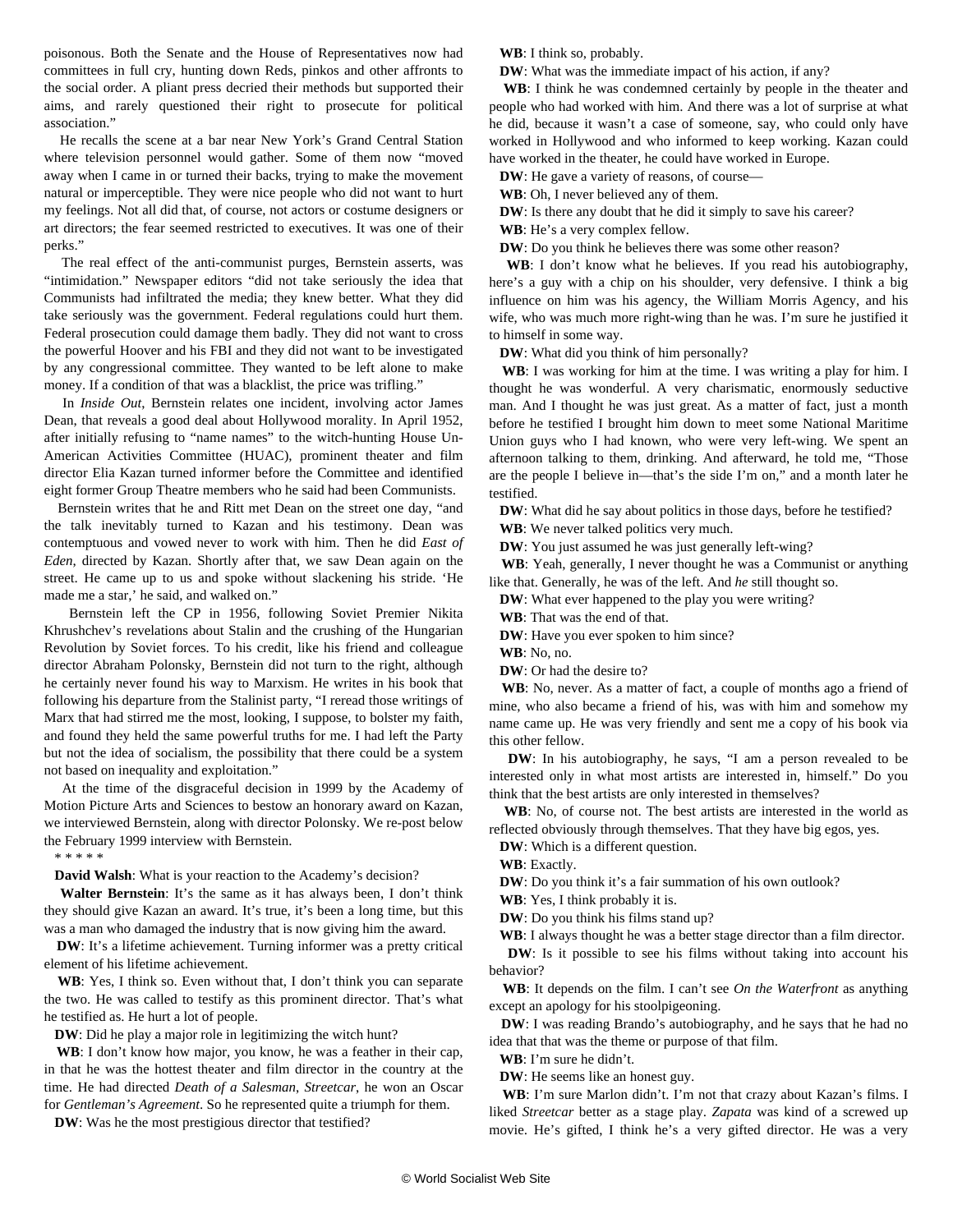poisonous. Both the Senate and the House of Representatives now had committees in full cry, hunting down Reds, pinkos and other affronts to the social order. A pliant press decried their methods but supported their aims, and rarely questioned their right to prosecute for political association."

 He recalls the scene at a bar near New York's Grand Central Station where television personnel would gather. Some of them now "moved away when I came in or turned their backs, trying to make the movement natural or imperceptible. They were nice people who did not want to hurt my feelings. Not all did that, of course, not actors or costume designers or art directors; the fear seemed restricted to executives. It was one of their perks."

 The real effect of the anti-communist purges, Bernstein asserts, was "intimidation." Newspaper editors "did not take seriously the idea that Communists had infiltrated the media; they knew better. What they did take seriously was the government. Federal regulations could hurt them. Federal prosecution could damage them badly. They did not want to cross the powerful Hoover and his FBI and they did not want to be investigated by any congressional committee. They wanted to be left alone to make money. If a condition of that was a blacklist, the price was trifling."

 In *Inside Out*, Bernstein relates one incident, involving actor James Dean, that reveals a good deal about Hollywood morality. In April 1952, after initially refusing to "name names" to the witch-hunting House Un-American Activities Committee (HUAC), prominent theater and film director Elia Kazan turned informer before the Committee and identified eight former Group Theatre members who he said had been Communists.

 Bernstein writes that he and Ritt met Dean on the street one day, "and the talk inevitably turned to Kazan and his testimony. Dean was contemptuous and vowed never to work with him. Then he did *East of Eden*, directed by Kazan. Shortly after that, we saw Dean again on the street. He came up to us and spoke without slackening his stride. 'He made me a star,' he said, and walked on."

 Bernstein left the CP in 1956, following Soviet Premier Nikita Khrushchev's revelations about Stalin and the crushing of the Hungarian Revolution by Soviet forces. To his credit, like his friend and colleague director Abraham Polonsky, Bernstein did not turn to the right, although he certainly never found his way to Marxism. He writes in his book that following his departure from the Stalinist party, "I reread those writings of Marx that had stirred me the most, looking, I suppose, to bolster my faith, and found they held the same powerful truths for me. I had left the Party but not the idea of socialism, the possibility that there could be a system not based on inequality and exploitation."

 At the time of the disgraceful decision in 1999 by the Academy of Motion Picture Arts and Sciences to bestow an honorary award on [Kazan](/en/articles/1999/02/kaz1-f20.html), we interviewed Bernstein, along with director [Polonsky](/en/articles/1999/02/polo-f24.html). We re-post below the February 1999 interview with Bernstein.

\* \* \* \* \*

**David Walsh**: What is your reaction to the Academy's decision?

 **Walter Bernstein**: It's the same as it has always been, I don't think they should give Kazan an award. It's true, it's been a long time, but this was a man who damaged the industry that is now giving him the award.

 **DW**: It's a lifetime achievement. Turning informer was a pretty critical element of his lifetime achievement.

 **WB**: Yes, I think so. Even without that, I don't think you can separate the two. He was called to testify as this prominent director. That's what he testified as. He hurt a lot of people.

**DW**: Did he play a major role in legitimizing the witch hunt?

 **WB**: I don't know how major, you know, he was a feather in their cap, in that he was the hottest theater and film director in the country at the time. He had directed *Death of a Salesman*, *Streetcar*, he won an Oscar for *Gentleman's Agreement*. So he represented quite a triumph for them.

**DW**: Was he the most prestigious director that testified?

**WB**: I think so, probably.

**DW**: What was the immediate impact of his action, if any?

 **WB**: I think he was condemned certainly by people in the theater and people who had worked with him. And there was a lot of surprise at what he did, because it wasn't a case of someone, say, who could only have worked in Hollywood and who informed to keep working. Kazan could have worked in the theater, he could have worked in Europe.

**DW**: He gave a variety of reasons, of course-

**WB**: Oh, I never believed any of them.

**DW**: Is there any doubt that he did it simply to save his career?

**WB**: He's a very complex fellow.

**DW**: Do you think he believes there was some other reason?

WB: I don't know what he believes. If you read his autobiography, here's a guy with a chip on his shoulder, very defensive. I think a big influence on him was his agency, the William Morris Agency, and his wife, who was much more right-wing than he was. I'm sure he justified it to himself in some way.

**DW**: What did you think of him personally?

 **WB**: I was working for him at the time. I was writing a play for him. I thought he was wonderful. A very charismatic, enormously seductive man. And I thought he was just great. As a matter of fact, just a month before he testified I brought him down to meet some National Maritime Union guys who I had known, who were very left-wing. We spent an afternoon talking to them, drinking. And afterward, he told me, "Those are the people I believe in—that's the side I'm on," and a month later he testified.

**DW**: What did he say about politics in those days, before he testified?

**WB**: We never talked politics very much.

**DW**: You just assumed he was just generally left-wing?

 **WB**: Yeah, generally, I never thought he was a Communist or anything like that. Generally, he was of the left. And *he* still thought so.

**DW**: What ever happened to the play you were writing?

**WB**: That was the end of that.

**DW**: Have you ever spoken to him since?

**WB**: No, no.

**DW**: Or had the desire to?

 **WB**: No, never. As a matter of fact, a couple of months ago a friend of mine, who also became a friend of his, was with him and somehow my name came up. He was very friendly and sent me a copy of his book via this other fellow.

 **DW**: In his autobiography, he says, "I am a person revealed to be interested only in what most artists are interested in, himself." Do you think that the best artists are only interested in themselves?

 **WB**: No, of course not. The best artists are interested in the world as reflected obviously through themselves. That they have big egos, yes.

**DW**: Which is a different question.

**WB**: Exactly.

**DW**: Do you think it's a fair summation of his own outlook?

**WB**: Yes, I think probably it is.

**DW**: Do you think his films stand up?

**WB**: I always thought he was a better stage director than a film director.

**DW**: Is it possible to see his films without taking into account his behavior?

 **WB**: It depends on the film. I can't see *On the Waterfront* as anything except an apology for his stoolpigeoning.

 **DW**: I was reading Brando's autobiography, and he says that he had no idea that that was the theme or purpose of that film.

**WB**: I'm sure he didn't.

**DW**: He seems like an honest guy.

 **WB**: I'm sure Marlon didn't. I'm not that crazy about Kazan's films. I liked *Streetcar* better as a stage play. *Zapata* was kind of a screwed up movie. He's gifted, I think he's a very gifted director. He was a very